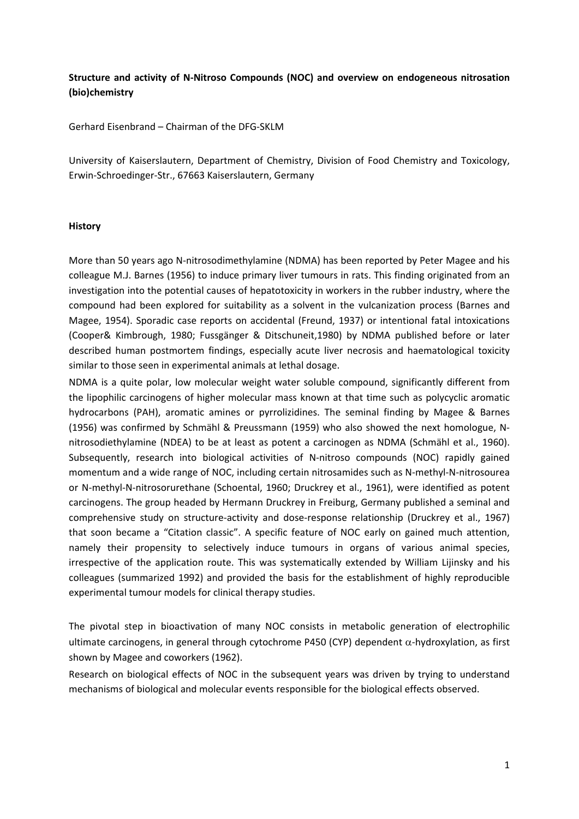# **Structure and activity of N‐Nitroso Compounds (NOC) and overview on endogeneous nitrosation (bio)chemistry**

Gerhard Eisenbrand – Chairman of the DFG‐SKLM

University of Kaiserslautern, Department of Chemistry, Division of Food Chemistry and Toxicology, Erwin‐Schroedinger‐Str., 67663 Kaiserslautern, Germany

### **History**

More than 50 years ago N‐nitrosodimethylamine (NDMA) has been reported by Peter Magee and his colleague M.J. Barnes (1956) to induce primary liver tumours in rats. This finding originated from an investigation into the potential causes of hepatotoxicity in workers in the rubber industry, where the compound had been explored for suitability as a solvent in the vulcanization process (Barnes and Magee, 1954). Sporadic case reports on accidental (Freund, 1937) or intentional fatal intoxications (Cooper& Kimbrough, 1980; Fussgänger & Ditschuneit,1980) by NDMA published before or later described human postmortem findings, especially acute liver necrosis and haematological toxicity similar to those seen in experimental animals at lethal dosage.

NDMA is a quite polar, low molecular weight water soluble compound, significantly different from the lipophilic carcinogens of higher molecular mass known at that time such as polycyclic aromatic hydrocarbons (PAH), aromatic amines or pyrrolizidines. The seminal finding by Magee & Barnes (1956) was confirmed by Schmähl & Preussmann (1959) who also showed the next homologue, N‐ nitrosodiethylamine (NDEA) to be at least as potent a carcinogen as NDMA (Schmähl et al., 1960). Subsequently, research into biological activities of N‐nitroso compounds (NOC) rapidly gained momentum and a wide range of NOC, including certain nitrosamides such as N‐methyl‐N‐nitrosourea or N-methyl-N-nitrosorurethane (Schoental, 1960; Druckrey et al., 1961), were identified as potent carcinogens. The group headed by Hermann Druckrey in Freiburg, Germany published a seminal and comprehensive study on structure‐activity and dose‐response relationship (Druckrey et al., 1967) that soon became a "Citation classic". A specific feature of NOC early on gained much attention, namely their propensity to selectively induce tumours in organs of various animal species, irrespective of the application route. This was systematically extended by William Lijinsky and his colleagues (summarized 1992) and provided the basis for the establishment of highly reproducible experimental tumour models for clinical therapy studies.

The pivotal step in bioactivation of many NOC consists in metabolic generation of electrophilic ultimate carcinogens, in general through cytochrome P450 (CYP) dependent  $\alpha$ -hydroxylation, as first shown by Magee and coworkers (1962).

Research on biological effects of NOC in the subsequent years was driven by trying to understand mechanisms of biological and molecular events responsible for the biological effects observed.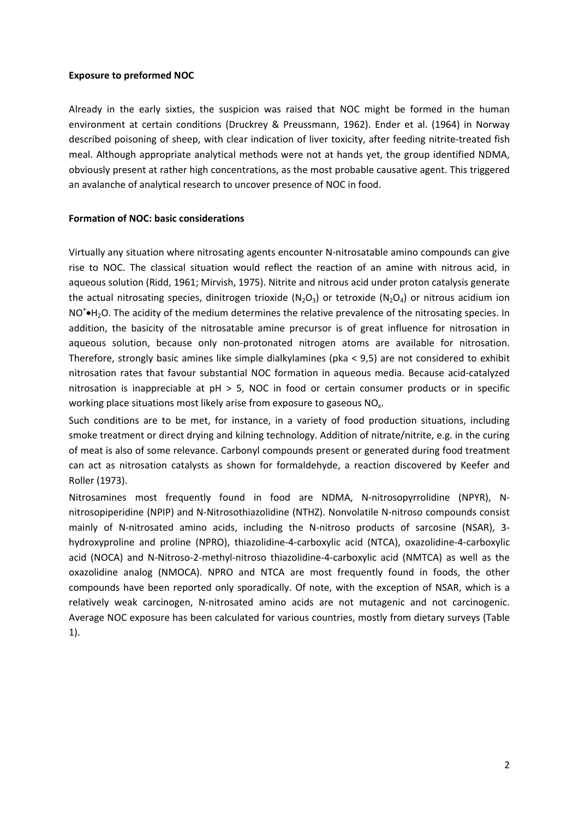# **Exposure to preformed NOC**

Already in the early sixties, the suspicion was raised that NOC might be formed in the human environment at certain conditions (Druckrey & Preussmann, 1962). Ender et al. (1964) in Norway described poisoning of sheep, with clear indication of liver toxicity, after feeding nitrite-treated fish meal. Although appropriate analytical methods were not at hands yet, the group identified NDMA, obviously present at rather high concentrations, as the most probable causative agent. This triggered an avalanche of analytical research to uncover presence of NOC in food.

# **Formation of NOC: basic considerations**

Virtually any situation where nitrosating agents encounter N‐nitrosatable amino compounds can give rise to NOC. The classical situation would reflect the reaction of an amine with nitrous acid, in aqueous solution (Ridd, 1961; Mirvish, 1975). Nitrite and nitrous acid under proton catalysis generate the actual nitrosating species, dinitrogen trioxide (N<sub>2</sub>O<sub>3</sub>) or tetroxide (N<sub>2</sub>O<sub>4</sub>) or nitrous acidium ion  $NO<sup>+</sup>$  $H<sub>2</sub>O$ . The acidity of the medium determines the relative prevalence of the nitrosating species. In addition, the basicity of the nitrosatable amine precursor is of great influence for nitrosation in aqueous solution, because only non-protonated nitrogen atoms are available for nitrosation. Therefore, strongly basic amines like simple dialkylamines (pka < 9,5) are not considered to exhibit nitrosation rates that favour substantial NOC formation in aqueous media. Because acid‐catalyzed nitrosation is inappreciable at  $pH > 5$ , NOC in food or certain consumer products or in specific working place situations most likely arise from exposure to gaseous  $NO<sub>x</sub>$ .

Such conditions are to be met, for instance, in a variety of food production situations, including smoke treatment or direct drying and kilning technology. Addition of nitrate/nitrite, e.g. in the curing of meat is also of some relevance. Carbonyl compounds present or generated during food treatment can act as nitrosation catalysts as shown for formaldehyde, a reaction discovered by Keefer and Roller (1973).

Nitrosamines most frequently found in food are NDMA, N‐nitrosopyrrolidine (NPYR), N‐ nitrosopiperidine (NPIP) and N‐Nitrosothiazolidine (NTHZ). Nonvolatile N‐nitroso compounds consist mainly of N-nitrosated amino acids, including the N-nitroso products of sarcosine (NSAR), 3hydroxyproline and proline (NPRO), thiazolidine‐4‐carboxylic acid (NTCA), oxazolidine‐4‐carboxylic acid (NOCA) and N‐Nitroso‐2‐methyl‐nitroso thiazolidine‐4‐carboxylic acid (NMTCA) as well as the oxazolidine analog (NMOCA). NPRO and NTCA are most frequently found in foods, the other compounds have been reported only sporadically. Of note, with the exception of NSAR, which is a relatively weak carcinogen, N‐nitrosated amino acids are not mutagenic and not carcinogenic. Average NOC exposure has been calculated for various countries, mostly from dietary surveys (Table 1).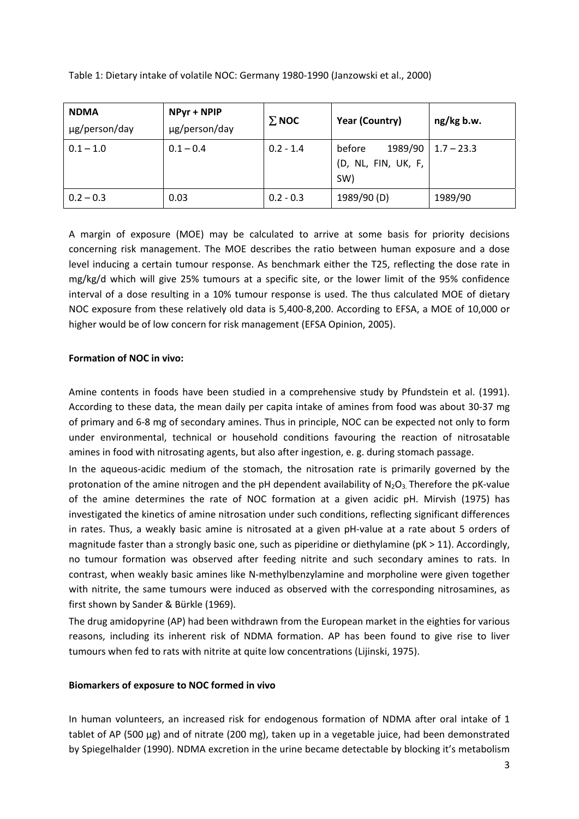| <b>NDMA</b><br>µg/person/day | NPyr + NPIP<br>µg/person/day | $\Sigma$ NOC | <b>Year (Country)</b>                           | ng/kg b.w.   |
|------------------------------|------------------------------|--------------|-------------------------------------------------|--------------|
| $0.1 - 1.0$                  | $0.1 - 0.4$                  | $0.2 - 1.4$  | 1989/90<br>before<br>(D, NL, FIN, UK, F,<br>SW) | $1.7 - 23.3$ |
| $0.2 - 0.3$                  | 0.03                         | $0.2 - 0.3$  | 1989/90 (D)                                     | 1989/90      |

Table 1: Dietary intake of volatile NOC: Germany 1980‐1990 (Janzowski et al., 2000)

A margin of exposure (MOE) may be calculated to arrive at some basis for priority decisions concerning risk management. The MOE describes the ratio between human exposure and a dose level inducing a certain tumour response. As benchmark either the T25, reflecting the dose rate in mg/kg/d which will give 25% tumours at a specific site, or the lower limit of the 95% confidence interval of a dose resulting in a 10% tumour response is used. The thus calculated MOE of dietary NOC exposure from these relatively old data is 5,400‐8,200. According to EFSA, a MOE of 10,000 or higher would be of low concern for risk management (EFSA Opinion, 2005).

# **Formation of NOC in vivo:**

Amine contents in foods have been studied in a comprehensive study by Pfundstein et al. (1991). According to these data, the mean daily per capita intake of amines from food was about 30‐37 mg of primary and 6‐8 mg of secondary amines. Thus in principle, NOC can be expected not only to form under environmental, technical or household conditions favouring the reaction of nitrosatable amines in food with nitrosating agents, but also after ingestion, e. g. during stomach passage.

In the aqueous‐acidic medium of the stomach, the nitrosation rate is primarily governed by the protonation of the amine nitrogen and the pH dependent availability of  $N_2O_3$ . Therefore the pK-value of the amine determines the rate of NOC formation at a given acidic pH. Mirvish (1975) has investigated the kinetics of amine nitrosation under such conditions, reflecting significant differences in rates. Thus, a weakly basic amine is nitrosated at a given pH‐value at a rate about 5 orders of magnitude faster than a strongly basic one, such as piperidine or diethylamine (pK > 11). Accordingly, no tumour formation was observed after feeding nitrite and such secondary amines to rats. In contrast, when weakly basic amines like N‐methylbenzylamine and morpholine were given together with nitrite, the same tumours were induced as observed with the corresponding nitrosamines, as first shown by Sander & Bürkle (1969).

The drug amidopyrine (AP) had been withdrawn from the European market in the eighties for various reasons, including its inherent risk of NDMA formation. AP has been found to give rise to liver tumours when fed to rats with nitrite at quite low concentrations (Lijinski, 1975).

# **Biomarkers of exposure to NOC formed in vivo**

In human volunteers, an increased risk for endogenous formation of NDMA after oral intake of 1 tablet of AP (500 µg) and of nitrate (200 mg), taken up in a vegetable juice, had been demonstrated by Spiegelhalder (1990). NDMA excretion in the urine became detectable by blocking it's metabolism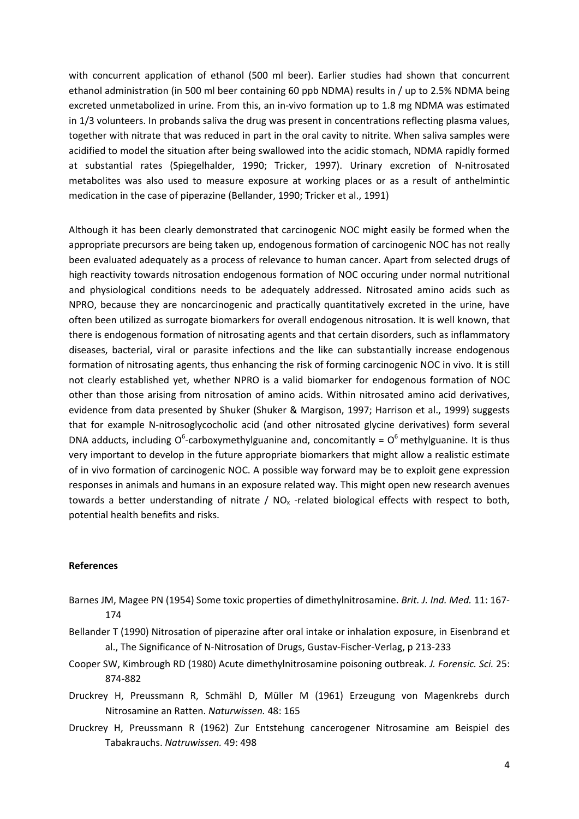with concurrent application of ethanol (500 ml beer). Earlier studies had shown that concurrent ethanol administration (in 500 ml beer containing 60 ppb NDMA) results in / up to 2.5% NDMA being excreted unmetabolized in urine. From this, an in‐vivo formation up to 1.8 mg NDMA was estimated in 1/3 volunteers. In probands saliva the drug was present in concentrations reflecting plasma values, together with nitrate that was reduced in part in the oral cavity to nitrite. When saliva samples were acidified to model the situation after being swallowed into the acidic stomach, NDMA rapidly formed at substantial rates (Spiegelhalder, 1990; Tricker, 1997). Urinary excretion of N‐nitrosated metabolites was also used to measure exposure at working places or as a result of anthelmintic medication in the case of piperazine (Bellander, 1990; Tricker et al., 1991)

Although it has been clearly demonstrated that carcinogenic NOC might easily be formed when the appropriate precursors are being taken up, endogenous formation of carcinogenic NOC has not really been evaluated adequately as a process of relevance to human cancer. Apart from selected drugs of high reactivity towards nitrosation endogenous formation of NOC occuring under normal nutritional and physiological conditions needs to be adequately addressed. Nitrosated amino acids such as NPRO, because they are noncarcinogenic and practically quantitatively excreted in the urine, have often been utilized as surrogate biomarkers for overall endogenous nitrosation. It is well known, that there is endogenous formation of nitrosating agents and that certain disorders, such as inflammatory diseases, bacterial, viral or parasite infections and the like can substantially increase endogenous formation of nitrosating agents, thus enhancing the risk of forming carcinogenic NOC in vivo. It is still not clearly established yet, whether NPRO is a valid biomarker for endogenous formation of NOC other than those arising from nitrosation of amino acids. Within nitrosated amino acid derivatives, evidence from data presented by Shuker (Shuker & Margison, 1997; Harrison et al., 1999) suggests that for example N‐nitrosoglycocholic acid (and other nitrosated glycine derivatives) form several DNA adducts, including O<sup>6</sup>-carboxymethylguanine and, concomitantly =  $O<sup>6</sup>$  methylguanine. It is thus very important to develop in the future appropriate biomarkers that might allow a realistic estimate of in vivo formation of carcinogenic NOC. A possible way forward may be to exploit gene expression responses in animals and humans in an exposure related way. This might open new research avenues towards a better understanding of nitrate /  $NO<sub>x</sub>$  -related biological effects with respect to both, potential health benefits and risks.

#### **References**

- Barnes JM, Magee PN (1954) Some toxic properties of dimethylnitrosamine. *Brit. J. Ind. Med.* 11: 167‐ 174
- Bellander T (1990) Nitrosation of piperazine after oral intake or inhalation exposure, in Eisenbrand et al., The Significance of N‐Nitrosation of Drugs, Gustav‐Fischer‐Verlag, p 213‐233
- Cooper SW, Kimbrough RD (1980) Acute dimethylnitrosamine poisoning outbreak. *J. Forensic. Sci.* 25: 874‐882
- Druckrey H, Preussmann R, Schmähl D, Müller M (1961) Erzeugung von Magenkrebs durch Nitrosamine an Ratten. *Naturwissen.* 48: 165
- Druckrey H, Preussmann R (1962) Zur Entstehung cancerogener Nitrosamine am Beispiel des Tabakrauchs. *Natruwissen.* 49: 498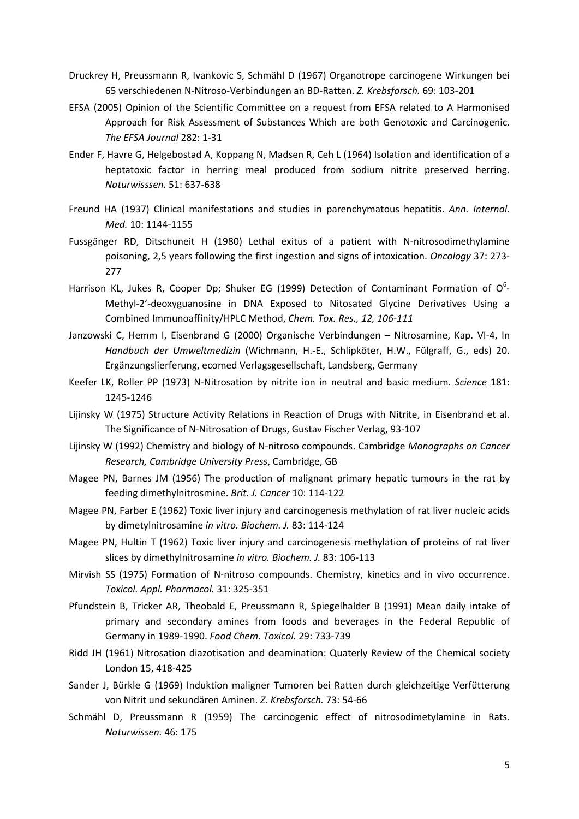- Druckrey H, Preussmann R, Ivankovic S, Schmähl D (1967) Organotrope carcinogene Wirkungen bei 65 verschiedenen N‐Nitroso‐Verbindungen an BD‐Ratten. *Z. Krebsforsch.* 69: 103‐201
- EFSA (2005) Opinion of the Scientific Committee on a request from EFSA related to A Harmonised Approach for Risk Assessment of Substances Which are both Genotoxic and Carcinogenic. *The EFSA Journal* 282: 1‐31
- Ender F, Havre G, Helgebostad A, Koppang N, Madsen R, Ceh L (1964) Isolation and identification of a heptatoxic factor in herring meal produced from sodium nitrite preserved herring. *Naturwisssen.* 51: 637‐638
- Freund HA (1937) Clinical manifestations and studies in parenchymatous hepatitis. *Ann. Internal. Med.* 10: 1144‐1155
- Fussgänger RD, Ditschuneit H (1980) Lethal exitus of a patient with N‐nitrosodimethylamine poisoning, 2,5 years following the first ingestion and signs of intoxication. *Oncology* 37: 273‐ 277
- Harrison KL, Jukes R, Cooper Dp; Shuker EG (1999) Detection of Contaminant Formation of  $O^6$ -Methyl‐2'‐deoxyguanosine in DNA Exposed to Nitosated Glycine Derivatives Using a Combined Immunoaffinity/HPLC Method, *Chem. Tox. Res., 12, 106‐111*
- Janzowski C, Hemm I, Eisenbrand G (2000) Organische Verbindungen Nitrosamine, Kap. VI‐4, In *Handbuch der Umweltmedizin* (Wichmann, H.‐E., Schlipköter, H.W., Fülgraff, G., eds) 20. Ergänzungslierferung, ecomed Verlagsgesellschaft, Landsberg, Germany
- Keefer LK, Roller PP (1973) N‐Nitrosation by nitrite ion in neutral and basic medium. *Science* 181: 1245‐1246
- Lijinsky W (1975) Structure Activity Relations in Reaction of Drugs with Nitrite, in Eisenbrand et al. The Significance of N‐Nitrosation of Drugs, Gustav Fischer Verlag, 93‐107
- Lijinsky W (1992) Chemistry and biology of N‐nitroso compounds. Cambridge *Monographs on Cancer Research, Cambridge University Press*, Cambridge, GB
- Magee PN, Barnes JM (1956) The production of malignant primary hepatic tumours in the rat by feeding dimethylnitrosmine. *Brit. J. Cancer* 10: 114‐122
- Magee PN, Farber E (1962) Toxic liver injury and carcinogenesis methylation of rat liver nucleic acids by dimetylnitrosamine *in vitro. Biochem. J.* 83: 114‐124
- Magee PN, Hultin T (1962) Toxic liver injury and carcinogenesis methylation of proteins of rat liver slices by dimethylnitrosamine *in vitro. Biochem. J.* 83: 106‐113
- Mirvish SS (1975) Formation of N-nitroso compounds. Chemistry, kinetics and in vivo occurrence. *Toxicol. Appl. Pharmacol.* 31: 325‐351
- Pfundstein B, Tricker AR, Theobald E, Preussmann R, Spiegelhalder B (1991) Mean daily intake of primary and secondary amines from foods and beverages in the Federal Republic of Germany in 1989‐1990. *Food Chem. Toxicol.* 29: 733‐739
- Ridd JH (1961) Nitrosation diazotisation and deamination: Quaterly Review of the Chemical society London 15, 418‐425
- Sander J, Bürkle G (1969) Induktion maligner Tumoren bei Ratten durch gleichzeitige Verfütterung von Nitrit und sekundären Aminen. *Z. Krebsforsch.* 73: 54‐66
- Schmähl D, Preussmann R (1959) The carcinogenic effect of nitrosodimetylamine in Rats. *Naturwissen.* 46: 175